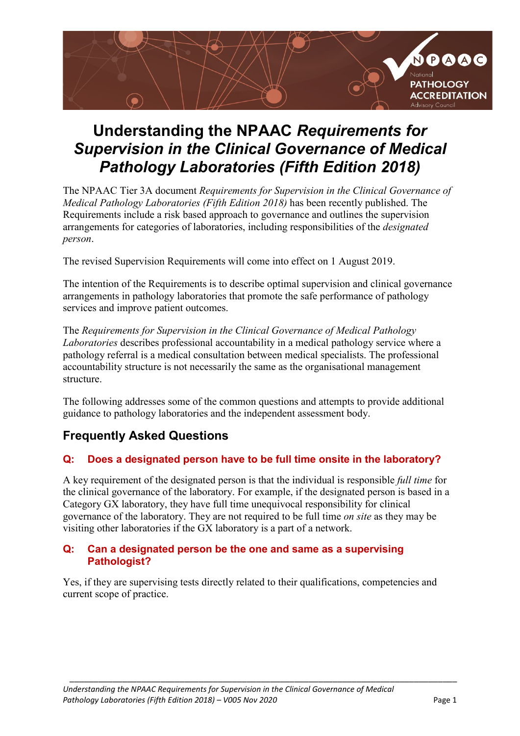

# **Understanding the NPAAC** *Requirements for Supervision in the Clinical Governance of Medical Pathology Laboratories (Fifth Edition 2018)*

The NPAAC Tier 3A document *Requirements for Supervision in the Clinical Governance of Medical Pathology Laboratories (Fifth Edition 2018)* has been recently published. The Requirements include a risk based approach to governance and outlines the supervision arrangements for categories of laboratories, including responsibilities of the *designated person*.

The revised Supervision Requirements will come into effect on 1 August 2019.

The intention of the Requirements is to describe optimal supervision and clinical governance arrangements in pathology laboratories that promote the safe performance of pathology services and improve patient outcomes.

The *Requirements for Supervision in the Clinical Governance of Medical Pathology Laboratories* describes professional accountability in a medical pathology service where a pathology referral is a medical consultation between medical specialists. The professional accountability structure is not necessarily the same as the organisational management structure.

The following addresses some of the common questions and attempts to provide additional guidance to pathology laboratories and the independent assessment body.

## **Frequently Asked Questions**

#### **Q: Does a designated person have to be full time onsite in the laboratory?**

A key requirement of the designated person is that the individual is responsible *full time* for the clinical governance of the laboratory. For example, if the designated person is based in a Category GX laboratory, they have full time unequivocal responsibility for clinical governance of the laboratory. They are not required to be full time *on site* as they may be visiting other laboratories if the GX laboratory is a part of a network.

#### **Q: Can a designated person be the one and same as a supervising Pathologist?**

Yes, if they are supervising tests directly related to their qualifications, competencies and current scope of practice.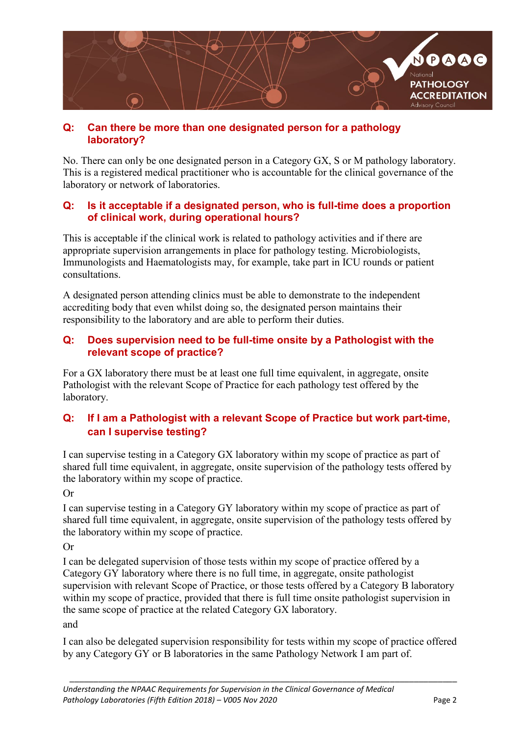

#### **Q: Can there be more than one designated person for a pathology laboratory?**

No. There can only be one designated person in a Category GX, S or M pathology laboratory. This is a registered medical practitioner who is accountable for the clinical governance of the laboratory or network of laboratories.

#### **Q: Is it acceptable if a designated person, who is full-time does a proportion of clinical work, during operational hours?**

This is acceptable if the clinical work is related to pathology activities and if there are appropriate supervision arrangements in place for pathology testing. Microbiologists, Immunologists and Haematologists may, for example, take part in ICU rounds or patient consultations.

A designated person attending clinics must be able to demonstrate to the independent accrediting body that even whilst doing so, the designated person maintains their responsibility to the laboratory and are able to perform their duties.

#### **Q: Does supervision need to be full-time onsite by a Pathologist with the relevant scope of practice?**

For a GX laboratory there must be at least one full time equivalent, in aggregate, onsite Pathologist with the relevant Scope of Practice for each pathology test offered by the laboratory.

## **Q: If I am a Pathologist with a relevant Scope of Practice but work part-time, can I supervise testing?**

I can supervise testing in a Category GX laboratory within my scope of practice as part of shared full time equivalent, in aggregate, onsite supervision of the pathology tests offered by the laboratory within my scope of practice.

Or

I can supervise testing in a Category GY laboratory within my scope of practice as part of shared full time equivalent, in aggregate, onsite supervision of the pathology tests offered by the laboratory within my scope of practice.

Or

I can be delegated supervision of those tests within my scope of practice offered by a Category GY laboratory where there is no full time, in aggregate, onsite pathologist supervision with relevant Scope of Practice, or those tests offered by a Category B laboratory within my scope of practice, provided that there is full time onsite pathologist supervision in the same scope of practice at the related Category GX laboratory. and

I can also be delegated supervision responsibility for tests within my scope of practice offered by any Category GY or B laboratories in the same Pathology Network I am part of.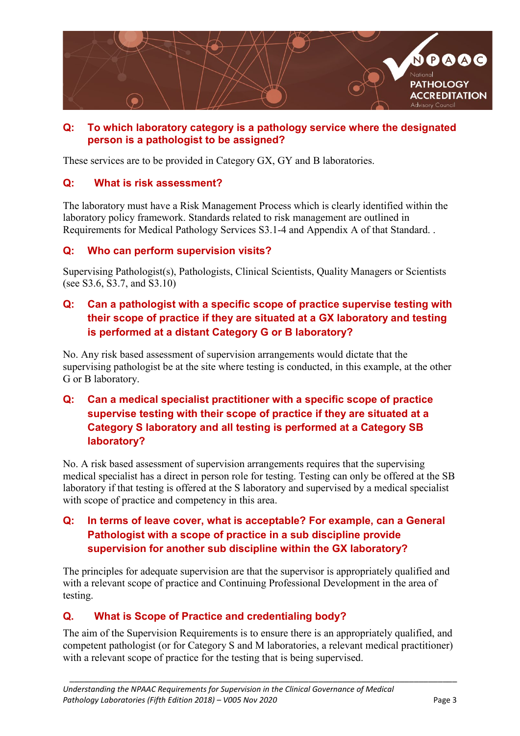

#### **Q: To which laboratory category is a pathology service where the designated person is a pathologist to be assigned?**

These services are to be provided in Category GX, GY and B laboratories.

#### **Q: What is risk assessment?**

The laboratory must have a Risk Management Process which is clearly identified within the laboratory policy framework. Standards related to risk management are outlined in Requirements for Medical Pathology Services S3.1-4 and Appendix A of that Standard. .

#### **Q: Who can perform supervision visits?**

Supervising Pathologist(s), Pathologists, Clinical Scientists, Quality Managers or Scientists (see S3.6, S3.7, and S3.10)

## **Q: Can a pathologist with a specific scope of practice supervise testing with their scope of practice if they are situated at a GX laboratory and testing is performed at a distant Category G or B laboratory?**

No. Any risk based assessment of supervision arrangements would dictate that the supervising pathologist be at the site where testing is conducted, in this example, at the other G or B laboratory.

## **Q: Can a medical specialist practitioner with a specific scope of practice supervise testing with their scope of practice if they are situated at a Category S laboratory and all testing is performed at a Category SB laboratory?**

No. A risk based assessment of supervision arrangements requires that the supervising medical specialist has a direct in person role for testing. Testing can only be offered at the SB laboratory if that testing is offered at the S laboratory and supervised by a medical specialist with scope of practice and competency in this area.

## **Q: In terms of leave cover, what is acceptable? For example, can a General Pathologist with a scope of practice in a sub discipline provide supervision for another sub discipline within the GX laboratory?**

The principles for adequate supervision are that the supervisor is appropriately qualified and with a relevant scope of practice and Continuing Professional Development in the area of testing.

## **Q. What is Scope of Practice and credentialing body?**

The aim of the Supervision Requirements is to ensure there is an appropriately qualified, and competent pathologist (or for Category S and M laboratories, a relevant medical practitioner) with a relevant scope of practice for the testing that is being supervised.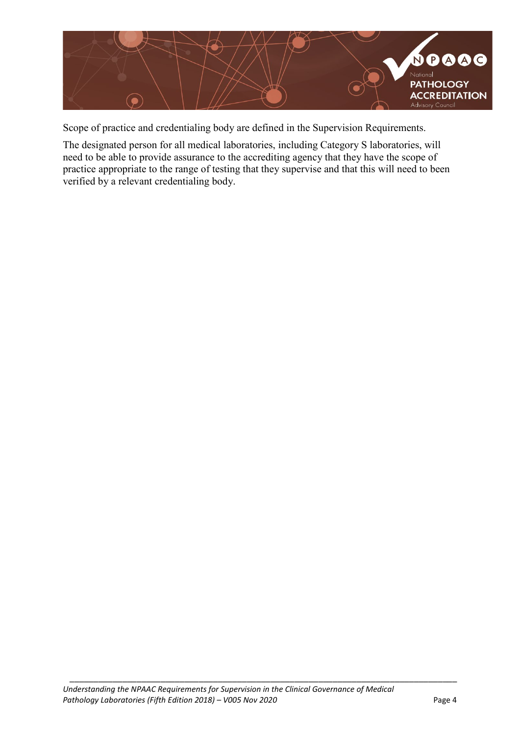

Scope of practice and credentialing body are defined in the Supervision Requirements.

The designated person for all medical laboratories, including Category S laboratories, will need to be able to provide assurance to the accrediting agency that they have the scope of practice appropriate to the range of testing that they supervise and that this will need to been verified by a relevant credentialing body.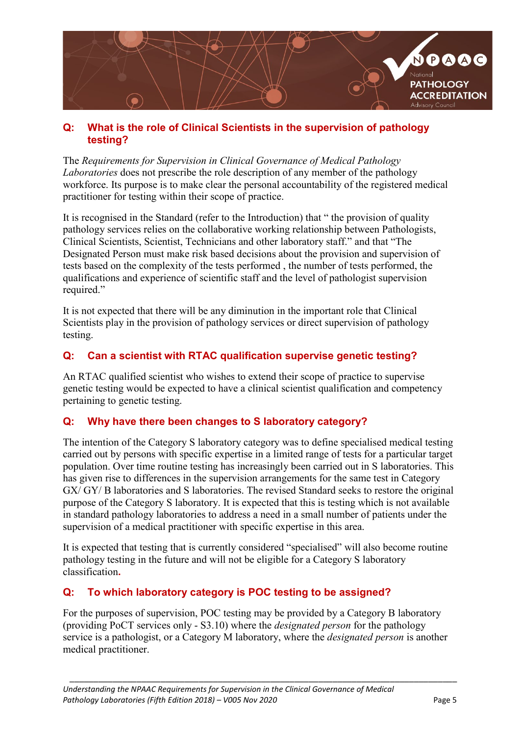

#### **Q: What is the role of Clinical Scientists in the supervision of pathology testing?**

The *Requirements for Supervision in Clinical Governance of Medical Pathology Laboratories* does not prescribe the role description of any member of the pathology workforce. Its purpose is to make clear the personal accountability of the registered medical practitioner for testing within their scope of practice.

It is recognised in the Standard (refer to the Introduction) that " the provision of quality pathology services relies on the collaborative working relationship between Pathologists, Clinical Scientists, Scientist, Technicians and other laboratory staff." and that "The Designated Person must make risk based decisions about the provision and supervision of tests based on the complexity of the tests performed , the number of tests performed, the qualifications and experience of scientific staff and the level of pathologist supervision required."

It is not expected that there will be any diminution in the important role that Clinical Scientists play in the provision of pathology services or direct supervision of pathology testing.

## **Q: Can a scientist with RTAC qualification supervise genetic testing?**

An RTAC qualified scientist who wishes to extend their scope of practice to supervise genetic testing would be expected to have a clinical scientist qualification and competency pertaining to genetic testing.

## **Q: Why have there been changes to S laboratory category?**

The intention of the Category S laboratory category was to define specialised medical testing carried out by persons with specific expertise in a limited range of tests for a particular target population. Over time routine testing has increasingly been carried out in S laboratories. This has given rise to differences in the supervision arrangements for the same test in Category GX/ GY/ B laboratories and S laboratories. The revised Standard seeks to restore the original purpose of the Category S laboratory. It is expected that this is testing which is not available in standard pathology laboratories to address a need in a small number of patients under the supervision of a medical practitioner with specific expertise in this area.

It is expected that testing that is currently considered "specialised" will also become routine pathology testing in the future and will not be eligible for a Category S laboratory classification**.** 

#### **Q: To which laboratory category is POC testing to be assigned?**

For the purposes of supervision, POC testing may be provided by a Category B laboratory (providing PoCT services only - S3.10) where the *designated person* for the pathology service is a pathologist, or a Category M laboratory, where the *designated person* is another medical practitioner.